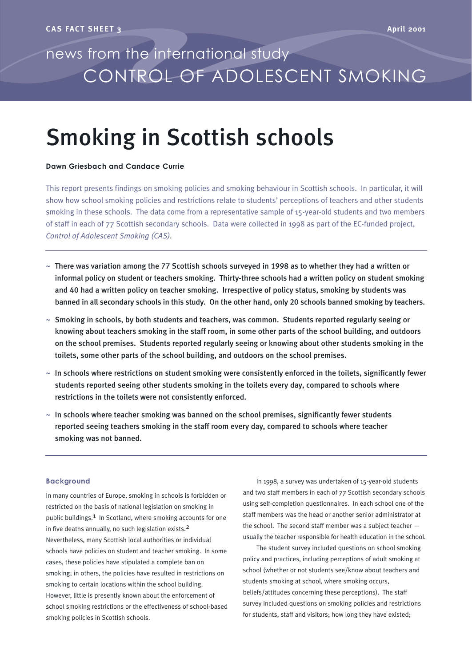## news from the international study CONTROL OF ADOLESCENT SMOKING

# Smoking in Scottish schools

## **Dawn Griesbach and Candace Currie**

This report presents findings on smoking policies and smoking behaviour in Scottish schools. In particular, it will show how school smoking policies and restrictions relate to students' perceptions of teachers and other students smoking in these schools. The data come from a representative sample of 15-year-old students and two members of staff in each of 77 Scottish secondary schools. Data were collected in 1998 as part of the EC-funded project, *Control of Adolescent Smoking (CAS).*

- $\sim$  There was variation among the 77 Scottish schools surveyed in 1998 as to whether they had a written or informal policy on student or teachers smoking. Thirty-three schools had a written policy on student smoking and 40 had a written policy on teacher smoking. Irrespective of policy status, smoking by students was banned in all secondary schools in this study. On the other hand, only 20 schools banned smoking by teachers.
- $\sim$  Smoking in schools, by both students and teachers, was common. Students reported regularly seeing or knowing about teachers smoking in the staff room, in some other parts of the school building, and outdoors on the school premises. Students reported regularly seeing or knowing about other students smoking in the toilets, some other parts of the school building, and outdoors on the school premises.
- $\sim$  In schools where restrictions on student smoking were consistently enforced in the toilets, significantly fewer students reported seeing other students smoking in the toilets every day, compared to schools where restrictions in the toilets were not consistently enforced.
- $\sim$  In schools where teacher smoking was banned on the school premises, significantly fewer students reported seeing teachers smoking in the staff room every day, compared to schools where teacher smoking was not banned.

#### **Background**

In many countries of Europe, smoking in schools is forbidden or restricted on the basis of national legislation on smoking in public buildings.<sup>1</sup> In Scotland, where smoking accounts for one in five deaths annually, no such legislation exists.2 Nevertheless, many Scottish local authorities or individual schools have policies on student and teacher smoking. In some cases, these policies have stipulated a complete ban on smoking; in others, the policies have resulted in restrictions on smoking to certain locations within the school building. However, little is presently known about the enforcement of school smoking restrictions or the effectiveness of school-based smoking policies in Scottish schools.

In 1998, a survey was undertaken of 15-year-old students and two staff members in each of 77 Scottish secondary schools using self-completion questionnaires. In each school one of the staff members was the head or another senior administrator at the school. The second staff member was a subject teacher usually the teacher responsible for health education in the school.

The student survey included questions on school smoking policy and practices, including perceptions of adult smoking at school (whether or not students see/know about teachers and students smoking at school, where smoking occurs, beliefs/attitudes concerning these perceptions). The staff survey included questions on smoking policies and restrictions for students, staff and visitors; how long they have existed;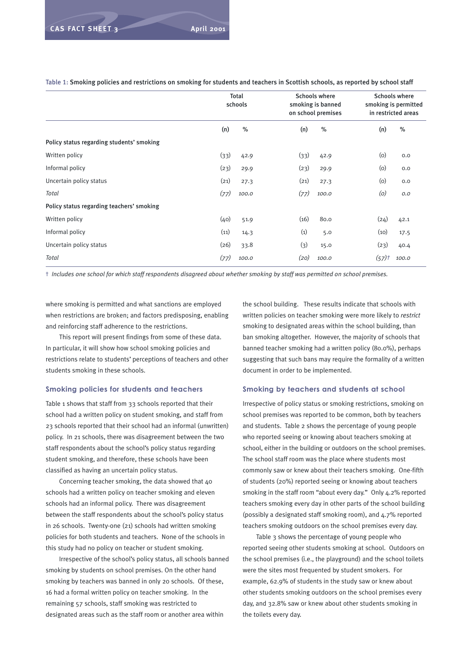|                                           | Total<br>schools |       | <b>Schools where</b><br><b>Schools where</b><br>smoking is banned<br>smoking is permitted<br>on school premises<br>in restricted areas |       |      |       |
|-------------------------------------------|------------------|-------|----------------------------------------------------------------------------------------------------------------------------------------|-------|------|-------|
|                                           | (n)              | $\%$  | (n)                                                                                                                                    | $\%$  | (n)  | $\%$  |
| Policy status regarding students' smoking |                  |       |                                                                                                                                        |       |      |       |
| Written policy                            | (33)             | 42.9  | (33)                                                                                                                                   | 42.9  | (0)  | 0.0   |
| Informal policy                           | (23)             | 29.9  | (23)                                                                                                                                   | 29.9  | (0)  | 0.0   |
| Uncertain policy status                   | (21)             | 27.3  | (21)                                                                                                                                   | 27.3  | (0)  | 0.0   |
| Total                                     | (77)             | 100.0 | (77)                                                                                                                                   | 100.0 | (0)  | O.O   |
| Policy status regarding teachers' smoking |                  |       |                                                                                                                                        |       |      |       |
| Written policy                            | (40)             | 51.9  | (16)                                                                                                                                   | 80.0  | (24) | 42.1  |
| Informal policy                           | (11)             | 14.3  | (1)                                                                                                                                    | 5.0   | (10) | 17.5  |
| Uncertain policy status                   | (26)             | 33.8  | (3)                                                                                                                                    | 15.0  | (23) | 40.4  |
| Total                                     | (77)             | 100.0 | (20)                                                                                                                                   | 100.0 | (57) | 100.0 |

Table 1: Smoking policies and restrictions on smoking for students and teachers in Scottish schools, as reported by school staff

† *Includes one school for which staff respondents disagreed about whether smoking by staff was permitted on school premises.*

where smoking is permitted and what sanctions are employed when restrictions are broken; and factors predisposing, enabling and reinforcing staff adherence to the restrictions.

This report will present findings from some of these data. In particular, it will show how school smoking policies and restrictions relate to students' perceptions of teachers and other students smoking in these schools.

#### **Smoking policies for students and teachers**

Table 1 shows that staff from 33 schools reported that their school had a written policy on student smoking, and staff from 23 schools reported that their school had an informal (unwritten) policy. In 21 schools, there was disagreement between the two staff respondents about the school's policy status regarding student smoking, and therefore, these schools have been classified as having an uncertain policy status.

Concerning teacher smoking, the data showed that 40 schools had a written policy on teacher smoking and eleven schools had an informal policy. There was disagreement between the staff respondents about the school's policy status in 26 schools. Twenty-one (21) schools had written smoking policies for both students and teachers. None of the schools in this study had no policy on teacher or student smoking.

Irrespective of the school's policy status, all schools banned smoking by students on school premises. On the other hand smoking by teachers was banned in only 20 schools. Of these, 16 had a formal written policy on teacher smoking. In the remaining 57 schools, staff smoking was restricted to designated areas such as the staff room or another area within

the school building. These results indicate that schools with written policies on teacher smoking were more likely to *restrict* smoking to designated areas within the school building, than ban smoking altogether. However, the majority of schools that banned teacher smoking had a written policy (80.0%), perhaps suggesting that such bans may require the formality of a written document in order to be implemented.

#### **Smoking by teachers and students at school**

Irrespective of policy status or smoking restrictions, smoking on school premises was reported to be common, both by teachers and students. Table 2 shows the percentage of young people who reported seeing or knowing about teachers smoking at school, either in the building or outdoors on the school premises. The school staff room was the place where students most commonly saw or knew about their teachers smoking. One-fifth of students (20%) reported seeing or knowing about teachers smoking in the staff room "about every day." Only 4.2% reported teachers smoking every day in other parts of the school building (possibly a designated staff smoking room), and 4.7% reported teachers smoking outdoors on the school premises every day.

Table 3 shows the percentage of young people who reported seeing other students smoking at school. Outdoors on the school premises (i.e., the playground) and the school toilets were the sites most frequented by student smokers. For example, 62.9% of students in the study saw or knew about other students smoking outdoors on the school premises every day, and 32.8% saw or knew about other students smoking in the toilets every day.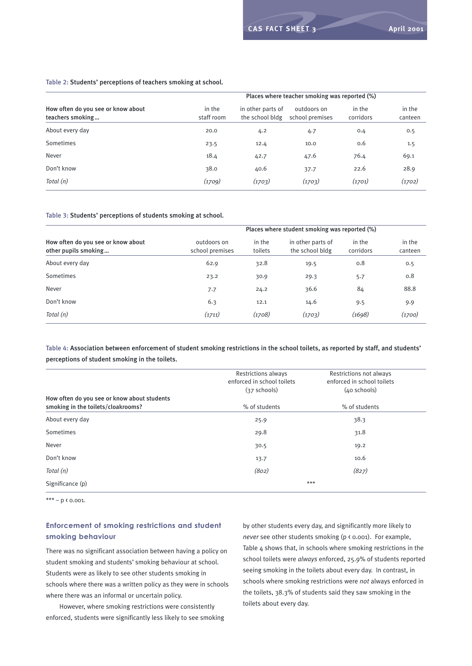#### Table 2: Students' perceptions of teachers smoking at school.

|                                                        |                      |                                      | Places where teacher smoking was reported (%) |                     |                   |
|--------------------------------------------------------|----------------------|--------------------------------------|-----------------------------------------------|---------------------|-------------------|
| How often do you see or know about<br>teachers smoking | in the<br>staff room | in other parts of<br>the school bldg | outdoors on<br>school premises                | in the<br>corridors | in the<br>canteen |
| About every day                                        | 20.0                 | 4.2                                  | 4.7                                           | 0.4                 | 0.5               |
| Sometimes                                              | 23.5                 | 12.4                                 | 10.0                                          | 0.6                 | 1.5               |
| Never                                                  | 18.4                 | 42.7                                 | 47.6                                          | 76.4                | 69.1              |
| Don't know                                             | 38.0                 | 40.6                                 | 37.7                                          | 22.6                | 28.9              |
| Total (n)                                              | (1709)               | (1703)                               | (1703)                                        | (1701)              | (1702)            |

#### Table 3: Students' perceptions of students smoking at school.

|                                                            |                                | Places where student smoking was reported (%) |                                      |                     |                   |  |
|------------------------------------------------------------|--------------------------------|-----------------------------------------------|--------------------------------------|---------------------|-------------------|--|
| How often do you see or know about<br>other pupils smoking | outdoors on<br>school premises | in the<br>toilets                             | in other parts of<br>the school bldg | in the<br>corridors | in the<br>canteen |  |
| About every day                                            | 62.9                           | 32.8                                          | 19.5                                 | 0.8                 | 0.5               |  |
| Sometimes                                                  | 23.2                           | 30.9                                          | 29.3                                 | 5.7                 | 0.8               |  |
| Never                                                      | 7.7                            | 24.2                                          | 36.6                                 | 84                  | 88.8              |  |
| Don't know                                                 | 6.3                            | 12.1                                          | 14.6                                 | 9.5                 | 9.9               |  |
| Total (n)                                                  | (1711)                         | (1708)                                        | (1703)                               | (1698)              | (1700)            |  |

## Table 4: Association between enforcement of student smoking restrictions in the school toilets, as reported by staff, and students' perceptions of student smoking in the toilets.

|                                                                                   | <b>Restrictions always</b><br>enforced in school toilets<br>$(37$ schools) | Restrictions not always<br>enforced in school toilets<br>$(40$ schools) |
|-----------------------------------------------------------------------------------|----------------------------------------------------------------------------|-------------------------------------------------------------------------|
| How often do you see or know about students<br>smoking in the toilets/cloakrooms? | % of students                                                              | % of students                                                           |
| About every day                                                                   | 25.9                                                                       | 38.3                                                                    |
| Sometimes                                                                         | 29.8                                                                       | 31.8                                                                    |
| Never                                                                             | 30.5                                                                       | 19.2                                                                    |
| Don't know                                                                        | 13.7                                                                       | 10.6                                                                    |
| Total (n)                                                                         | (802)                                                                      | (827)                                                                   |
| Significance (p)                                                                  |                                                                            | $***$                                                                   |

\*\*\* – p  $\kappa$  0.001.

## **Enforcement of smoking restrictions and student smoking behaviour**

There was no significant association between having a policy on student smoking and students' smoking behaviour at school. Students were as likely to see other students smoking in schools where there was a written policy as they were in schools where there was an informal or uncertain policy.

However, where smoking restrictions were consistently enforced, students were significantly less likely to see smoking by other students every day, and significantly more likely to *never* see other students smoking (p < 0.001). For example, Table 4 shows that, in schools where smoking restrictions in the school toilets were *always* enforced, 25.9% of students reported seeing smoking in the toilets about every day. In contrast, in schools where smoking restrictions were *not* always enforced in the toilets, 38.3% of students said they saw smoking in the toilets about every day.